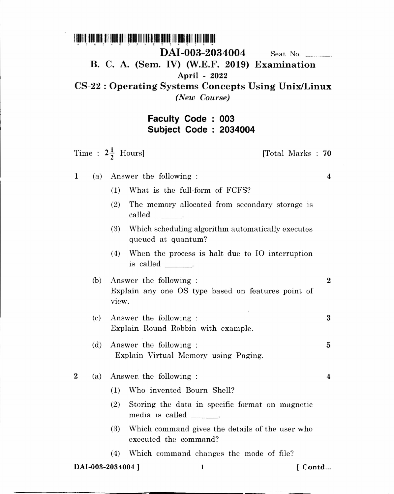## <u>1 hachta hadii idiri dheyaan italik bahad illi ildak harka dheba halk alah adal kali dhii dhi</u>  $\star$  ) A  $\pm$ DAI-003-2034004 Seat No. B. C. A. (Sem. IV) (W.E.F. 2019) Examination April - 2022 CS-22 : Operating Systems Concepts Using UnixlLinux *(New Course)*

## Faculty Code: 003 Subject Code 2034004

Time :  $2\frac{1}{2}$  Hours] [Total Marks : 70 1 (a) Answer the following : 0) What is the full-form of FCFS? (2) The memory allocated from secondary storage is called  $\qquad$ . 4 (3) Which scheduling algorithm automatically executes queued at quantum? (4) When the process is halt due to 10 interruption is called  $\_\_\_\_\_\_\$ . (b) Answer the following : 2 Explain any one OS type based on features point of VIew. (c) Answer the following : Explain Round Robbin with example. 3 (d) Answer the following: Explain Virtual Memory using Paging. 5 2 (a) Answer, the following: (1) Who invented Bourn Shell? (2) Storing the data in specific format on magnetic media is called \_ (3) Which command gives the details of the user who executed the command? (4) Which command changes the mode of file? 4

DAI-003-2034004 ] 1 [ Contd...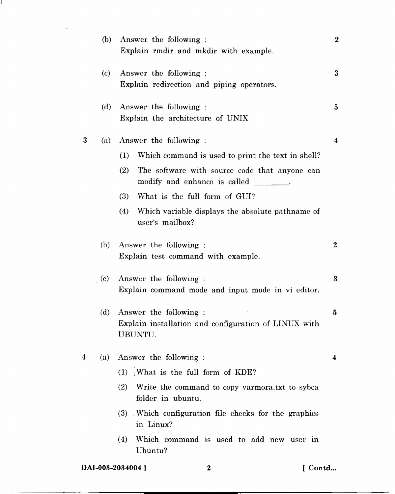|   | (b) | Answer the following:<br>Explain rmdir and mkdir with example.                                                                                                                                                                                                                                   | $\boldsymbol{2}$ |
|---|-----|--------------------------------------------------------------------------------------------------------------------------------------------------------------------------------------------------------------------------------------------------------------------------------------------------|------------------|
|   | (c) | Answer the following:<br>Explain redirection and piping operators.                                                                                                                                                                                                                               | 3                |
|   | (d) | Answer the following:<br>Explain the architecture of UNIX                                                                                                                                                                                                                                        | 5                |
| 3 | (a) | Answer the following :<br>Which command is used to print the text in shell?<br>(1)<br>The software with source code that anyone can<br>(2)<br>modify and enhance is called<br>What is the full form of GUI?<br>(3)<br>(4)<br>Which variable displays the absolute pathname of<br>user's mailbox? | $\boldsymbol{4}$ |
|   | (b) | Answer the following:<br>Explain test command with example.                                                                                                                                                                                                                                      | $\bf{2}$         |
|   | (c) | Answer the following:<br>Explain command mode and input mode in vi editor.                                                                                                                                                                                                                       | $\bf{3}$         |
|   | (d) | Answer the following :<br>Explain installation and configuration of LINUX with<br>UBUNTU.                                                                                                                                                                                                        | 5                |
| 4 | (a) | Answer the following:<br>(1) What is the full form of KDE?<br>(2)<br>Write the command to copy varmora.txt to sybca<br>folder in ubuntu.<br>(3) Which configuration file checks for the graphics<br>in Linux?<br>Which command is used to add new user in<br>(4)<br>Ubuntu?                      | 4                |
|   |     |                                                                                                                                                                                                                                                                                                  |                  |

DAI-003-2034004 ] 2 [ Contd...

 $\mathbf{I}$